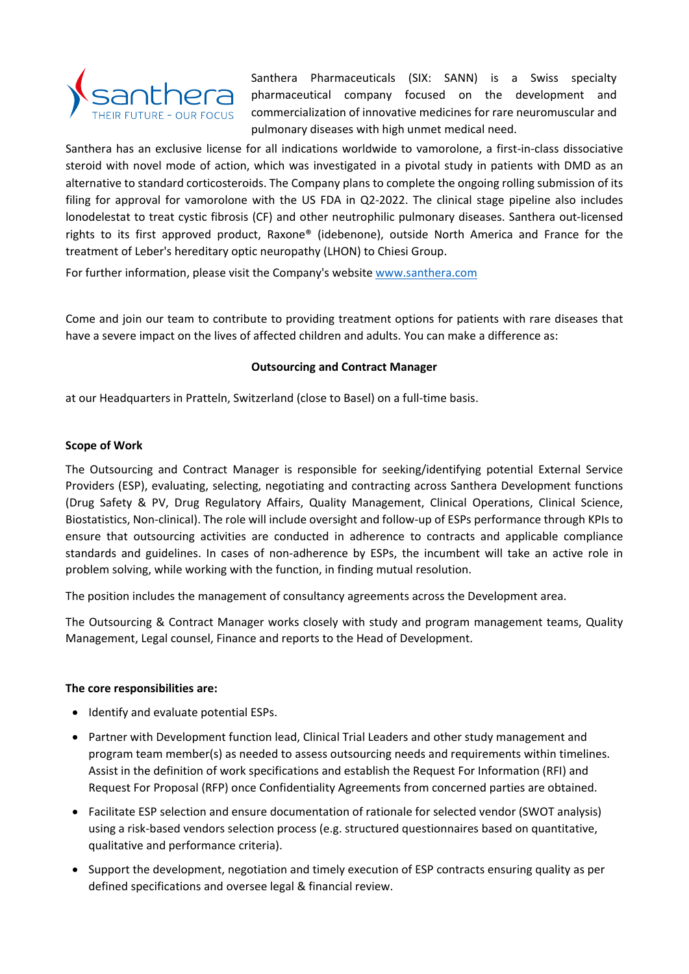

Santhera Pharmaceuticals (SIX: SANN) is a Swiss specialty pharmaceutical company focused on the development and commercialization of innovative medicines for rare neuromuscular and pulmonary diseases with high unmet medical need.

Santhera has an exclusive license for all indications worldwide to vamorolone, a first-in-class dissociative steroid with novel mode of action, which was investigated in a pivotal study in patients with DMD as an alternative to standard corticosteroids. The Company plans to complete the ongoing rolling submission of its filing for approval for vamorolone with the US FDA in Q2-2022. The clinical stage pipeline also includes lonodelestat to treat cystic fibrosis (CF) and other neutrophilic pulmonary diseases. Santhera out-licensed rights to its first approved product, Raxone® (idebenone), outside North America and France for the treatment of Leber's hereditary optic neuropathy (LHON) to Chiesi Group.

For further information, please visit the Company's website [www.santhera.com](http://www.santhera.com/)

Come and join our team to contribute to providing treatment options for patients with rare diseases that have a severe impact on the lives of affected children and adults. You can make a difference as:

# **Outsourcing and Contract Manager**

at our Headquarters in Pratteln, Switzerland (close to Basel) on a full-time basis.

## **Scope of Work**

The Outsourcing and Contract Manager is responsible for seeking/identifying potential External Service Providers (ESP), evaluating, selecting, negotiating and contracting across Santhera Development functions (Drug Safety & PV, Drug Regulatory Affairs, Quality Management, Clinical Operations, Clinical Science, Biostatistics, Non-clinical). The role will include oversight and follow-up of ESPs performance through KPIs to ensure that outsourcing activities are conducted in adherence to contracts and applicable compliance standards and guidelines. In cases of non-adherence by ESPs, the incumbent will take an active role in problem solving, while working with the function, in finding mutual resolution.

The position includes the management of consultancy agreements across the Development area.

The Outsourcing & Contract Manager works closely with study and program management teams, Quality Management, Legal counsel, Finance and reports to the Head of Development.

## **The core responsibilities are:**

- Identify and evaluate potential ESPs.
- Partner with Development function lead, Clinical Trial Leaders and other study management and program team member(s) as needed to assess outsourcing needs and requirements within timelines. Assist in the definition of work specifications and establish the Request For Information (RFI) and Request For Proposal (RFP) once Confidentiality Agreements from concerned parties are obtained.
- Facilitate ESP selection and ensure documentation of rationale for selected vendor (SWOT analysis) using a risk-based vendors selection process (e.g. structured questionnaires based on quantitative, qualitative and performance criteria).
- Support the development, negotiation and timely execution of ESP contracts ensuring quality as per defined specifications and oversee legal & financial review.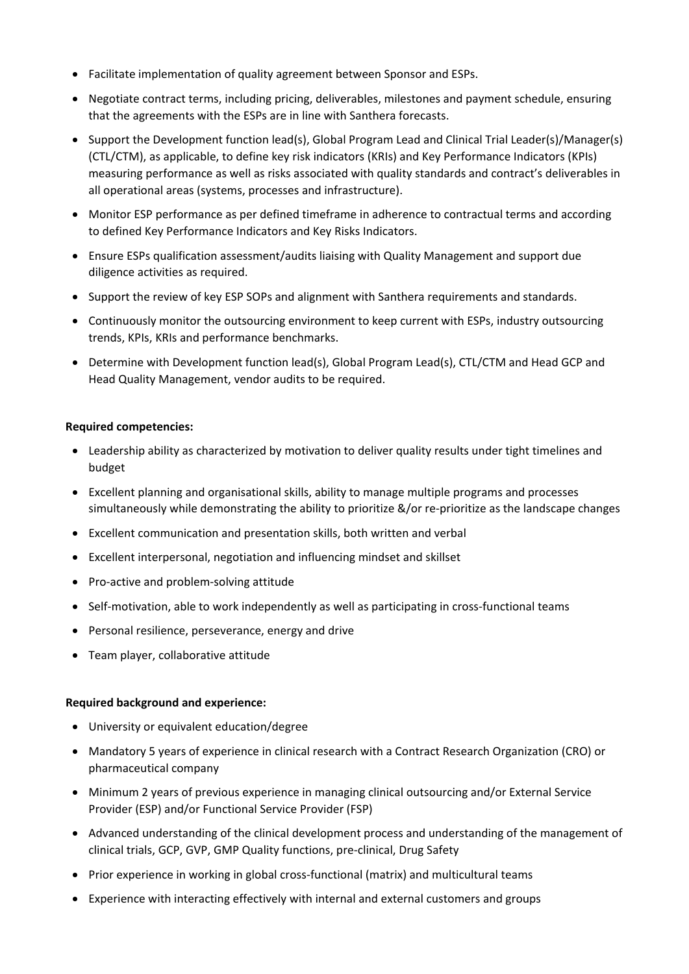- Facilitate implementation of quality agreement between Sponsor and ESPs.
- Negotiate contract terms, including pricing, deliverables, milestones and payment schedule, ensuring that the agreements with the ESPs are in line with Santhera forecasts.
- Support the Development function lead(s), Global Program Lead and Clinical Trial Leader(s)/Manager(s) (CTL/CTM), as applicable, to define key risk indicators (KRIs) and Key Performance Indicators (KPIs) measuring performance as well as risks associated with quality standards and contract's deliverables in all operational areas (systems, processes and infrastructure).
- Monitor ESP performance as per defined timeframe in adherence to contractual terms and according to defined Key Performance Indicators and Key Risks Indicators.
- Ensure ESPs qualification assessment/audits liaising with Quality Management and support due diligence activities as required.
- Support the review of key ESP SOPs and alignment with Santhera requirements and standards.
- Continuously monitor the outsourcing environment to keep current with ESPs, industry outsourcing trends, KPIs, KRIs and performance benchmarks.
- Determine with Development function lead(s), Global Program Lead(s), CTL/CTM and Head GCP and Head Quality Management, vendor audits to be required.

## **Required competencies:**

- Leadership ability as characterized by motivation to deliver quality results under tight timelines and budget
- Excellent planning and organisational skills, ability to manage multiple programs and processes simultaneously while demonstrating the ability to prioritize &/or re-prioritize as the landscape changes
- Excellent communication and presentation skills, both written and verbal
- Excellent interpersonal, negotiation and influencing mindset and skillset
- Pro-active and problem-solving attitude
- Self-motivation, able to work independently as well as participating in cross-functional teams
- Personal resilience, perseverance, energy and drive
- Team player, collaborative attitude

## **Required background and experience:**

- University or equivalent education/degree
- Mandatory 5 years of experience in clinical research with a Contract Research Organization (CRO) or pharmaceutical company
- Minimum 2 years of previous experience in managing clinical outsourcing and/or External Service Provider (ESP) and/or Functional Service Provider (FSP)
- Advanced understanding of the clinical development process and understanding of the management of clinical trials, GCP, GVP, GMP Quality functions, pre-clinical, Drug Safety
- Prior experience in working in global cross-functional (matrix) and multicultural teams
- Experience with interacting effectively with internal and external customers and groups